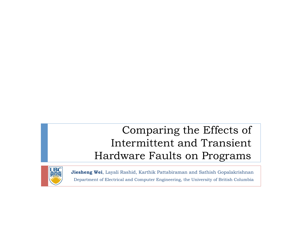#### Comparing the Effects of Intermittent and Transient Hardware Faults on Programs



**Jiesheng Wei**, Layali Rashid, Karthik Pattabiraman and Sathish Gopalakrishnan Department of Electrical and Computer Engineering, the University of British Columbia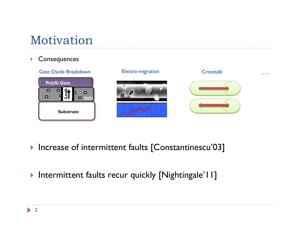# Motivation

#### **Consequences**



- **Increase of intermittent faults [Constantinescu'03]**
- **Intermittent faults recur quickly [Nightingale'l I]**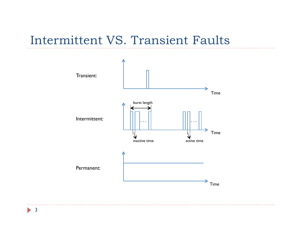#### Intermittent VS. Transient Faults



3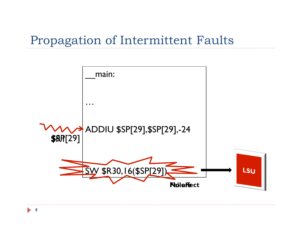## Propagation of Intermittent Faults

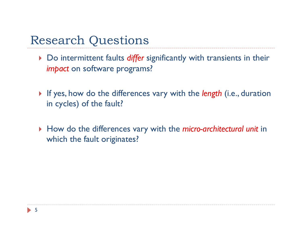## Research Questions

- ▶ Do intermittent faults *differ* significantly with transients in their *impact* on software programs?
- If yes, how do the differences vary with the *length* (i.e., duration in cycles) of the fault?
- How do the differences vary with the *micro-architectural unit* in which the fault originates?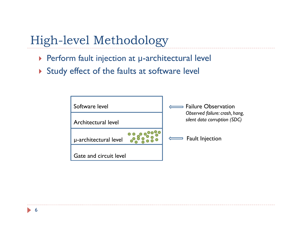High-level Methodology

- ▶ Perform fault injection at µ-architectural level
- Study effect of the faults at software level



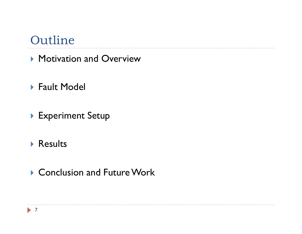- **Motivation and Overview**
- ▶ Fault Model
- **Experiment Setup**
- **Results**
- ▶ Conclusion and Future Work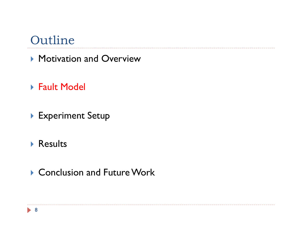- **Motivation and Overview**
- ▶ Fault Model
- **Experiment Setup**
- **Results**
- ▶ Conclusion and Future Work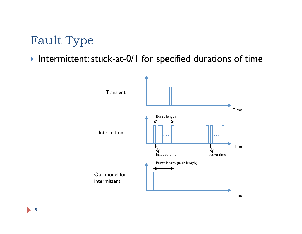## Fault Type

#### Intermittent: stuck-at-0/1 for specified durations of time



9  $\blacktriangleright$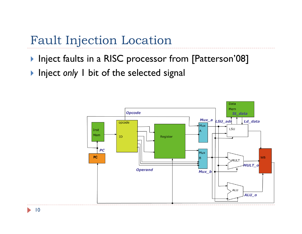## Fault Injection Location

- **Inject faults in a RISC processor from [Patterson'08]**
- **Inject only I bit of the selected signal**

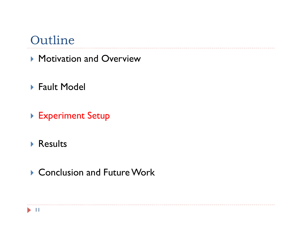- **Motivation and Overview**
- ▶ Fault Model
- ▶ Experiment Setup
- **Results**
- ▶ Conclusion and Future Work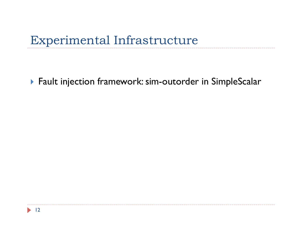### Experimental Infrastructure

▶ Fault injection framework: sim-outorder in SimpleScalar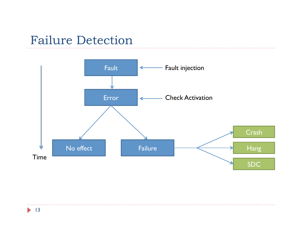#### Failure Detection

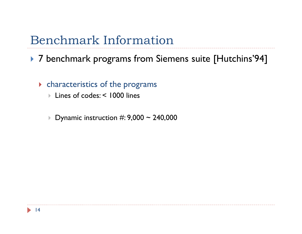#### Benchmark Information

▶ 7 benchmark programs from Siemens suite [Hutchins'94]

- characteristics of the programs
	- Lines of codes: < 1000 lines
	- Dynamic instruction  $\#$ : 9,000 ~ 240,000

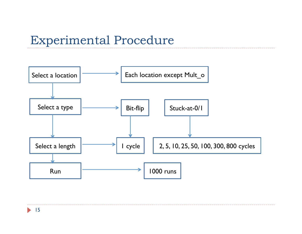### Experimental Procedure

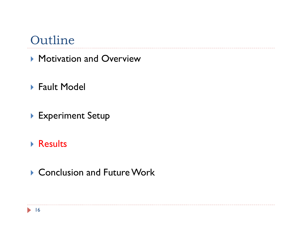- **Motivation and Overview**
- ▶ Fault Model
- **Experiment Setup**
- ▶ Results
- ▶ Conclusion and Future Work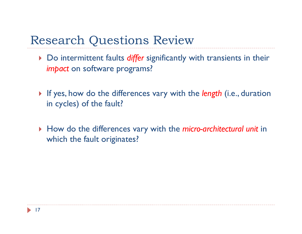## Research Questions Review

- ▶ Do intermittent faults *differ* significantly with transients in their *impact* on software programs?
- If yes, how do the differences vary with the *length* (i.e., duration in cycles) of the fault?
- How do the differences vary with the *micro-architectural unit* in which the fault originates?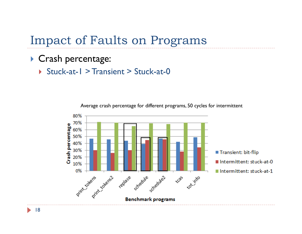Impact of Faults on Programs

- Crash percentage:
	- ▶ Stuck-at-1 > Transient > Stuck-at-0



Average crash percentage for different programs, 50 cycles for intermittent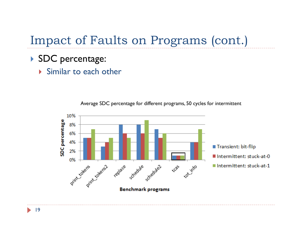## Impact of Faults on Programs (cont.)

- SDC percentage:
	- Similar to each other



Average SDC percentage for different programs, 50 cycles for intermittent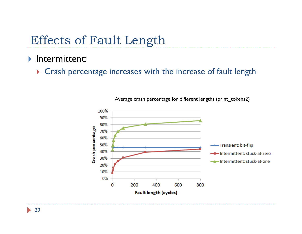## Effects of Fault Length

#### Intermittent:

▶ Crash percentage increases with the increase of fault length



Average crash percentage for different lengths (print\_tokens2)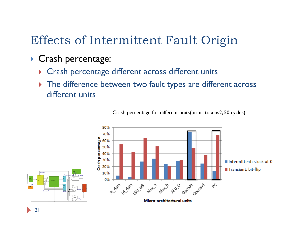## Effects of Intermittent Fault Origin

- Crash percentage:
	- ▶ Crash percentage different across different units
	- ▶ The difference between two fault types are different across different units



Crash percentage for different units(print\_tokens2, 50 cycles)

21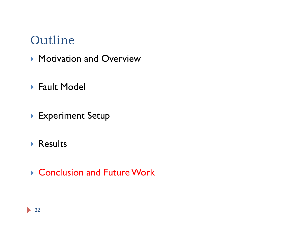- **Motivation and Overview**
- ▶ Fault Model
- **Experiment Setup**
- **Results**
- ▶ Conclusion and Future Work